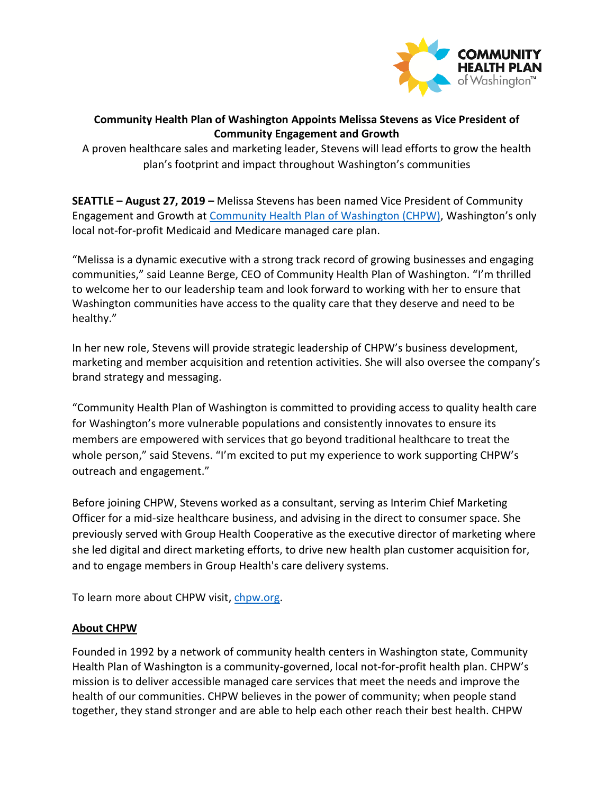

## **Community Health Plan of Washington Appoints Melissa Stevens as Vice President of Community Engagement and Growth**

A proven healthcare sales and marketing leader, Stevens will lead efforts to grow the health plan's footprint and impact throughout Washington's communities

**SEATTLE – August 27, 2019 –** Melissa Stevens has been named Vice President of Community Engagement and Growth at [Community Health Plan of Washington \(CHPW\)](http://www.chpw.org/), Washington's only local not-for-profit Medicaid and Medicare managed care plan.

"Melissa is a dynamic executive with a strong track record of growing businesses and engaging communities," said Leanne Berge, CEO of Community Health Plan of Washington. "I'm thrilled to welcome her to our leadership team and look forward to working with her to ensure that Washington communities have access to the quality care that they deserve and need to be healthy."

In her new role, Stevens will provide strategic leadership of CHPW's business development, marketing and member acquisition and retention activities. She will also oversee the company's brand strategy and messaging.

"Community Health Plan of Washington is committed to providing access to quality health care for Washington's more vulnerable populations and consistently innovates to ensure its members are empowered with services that go beyond traditional healthcare to treat the whole person," said Stevens. "I'm excited to put my experience to work supporting CHPW's outreach and engagement."

Before joining CHPW, Stevens worked as a consultant, serving as Interim Chief Marketing Officer for a mid-size healthcare business, and advising in the direct to consumer space. She previously served with Group Health Cooperative as the executive director of marketing where she led digital and direct marketing efforts, to drive new health plan customer acquisition for, and to engage members in Group Health's care delivery systems.

To learn more about CHPW visit, [chpw.org.](http://www.chpw.org/)

## **About CHPW**

Founded in 1992 by a network of community health centers in Washington state, Community Health Plan of Washington is a community-governed, local not-for-profit health plan. CHPW's mission is to deliver accessible managed care services that meet the needs and improve the health of our communities. CHPW believes in the power of community; when people stand together, they stand stronger and are able to help each other reach their best health. CHPW